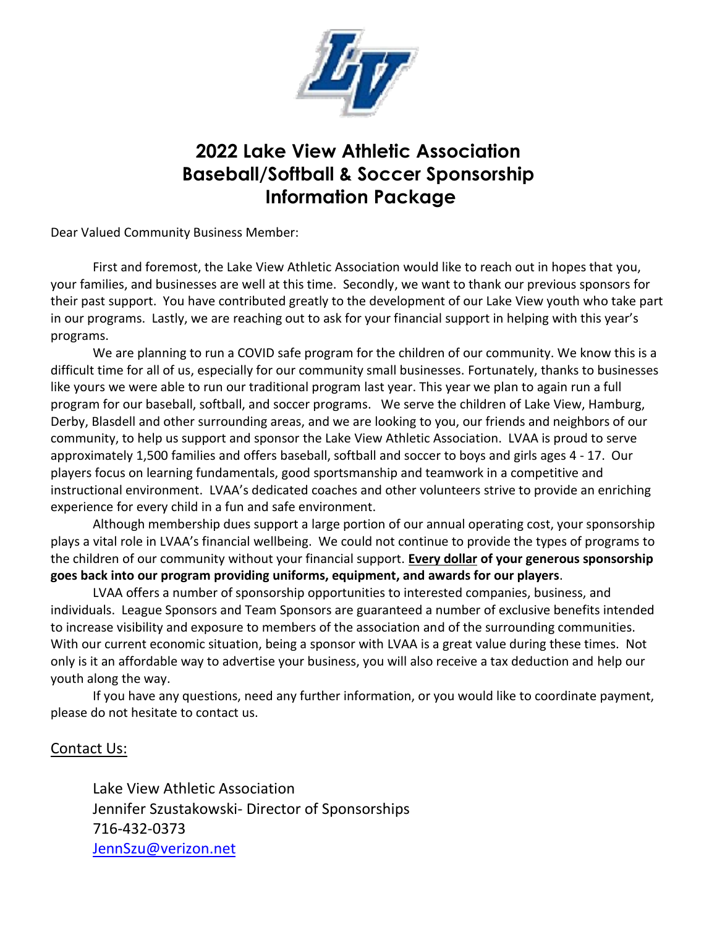

# **2022 Lake View Athletic Association Baseball/Softball & Soccer Sponsorship Information Package**

Dear Valued Community Business Member:

First and foremost, the Lake View Athletic Association would like to reach out in hopes that you, your families, and businesses are well at this time. Secondly, we want to thank our previous sponsors for their past support. You have contributed greatly to the development of our Lake View youth who take part in our programs. Lastly, we are reaching out to ask for your financial support in helping with this year's programs.

We are planning to run a COVID safe program for the children of our community. We know this is a difficult time for all of us, especially for our community small businesses. Fortunately, thanks to businesses like yours we were able to run our traditional program last year. This year we plan to again run a full program for our baseball, softball, and soccer programs. We serve the children of Lake View, Hamburg, Derby, Blasdell and other surrounding areas, and we are looking to you, our friends and neighbors of our community, to help us support and sponsor the Lake View Athletic Association. LVAA is proud to serve approximately 1,500 families and offers baseball, softball and soccer to boys and girls ages 4 - 17. Our players focus on learning fundamentals, good sportsmanship and teamwork in a competitive and instructional environment. LVAA's dedicated coaches and other volunteers strive to provide an enriching experience for every child in a fun and safe environment.

Although membership dues support a large portion of our annual operating cost, your sponsorship plays a vital role in LVAA's financial wellbeing. We could not continue to provide the types of programs to the children of our community without your financial support. **Every dollar of your generous sponsorship goes back into our program providing uniforms, equipment, and awards for our players**.

LVAA offers a number of sponsorship opportunities to interested companies, business, and individuals. League Sponsors and Team Sponsors are guaranteed a number of exclusive benefits intended to increase visibility and exposure to members of the association and of the surrounding communities. With our current economic situation, being a sponsor with LVAA is a great value during these times. Not only is it an affordable way to advertise your business, you will also receive a tax deduction and help our youth along the way.

If you have any questions, need any further information, or you would like to coordinate payment, please do not hesitate to contact us.

#### Contact Us:

Lake View Athletic Association Jennifer Szustakowski- Director of Sponsorships 716-432-0373 [JennSzu@verizon.net](mailto:JennSzu@verizon.net)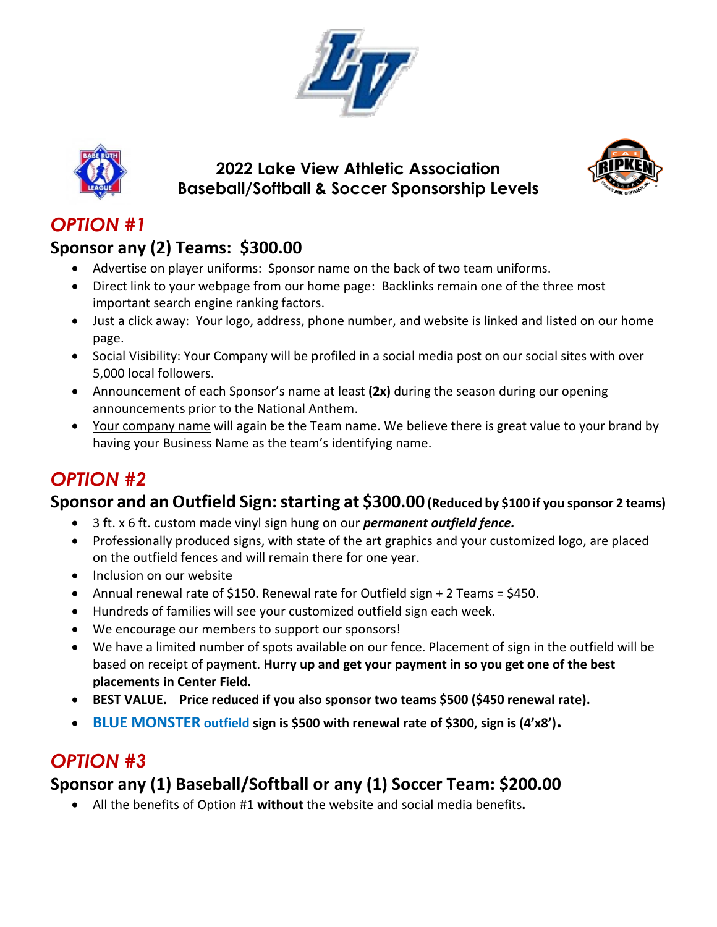



### **2022 Lake View Athletic Association Baseball/Softball & Soccer Sponsorship Levels**



# *OPTION #1*

# **Sponsor any (2) Teams: \$300.00**

- Advertise on player uniforms: Sponsor name on the back of two team uniforms.
- Direct link to your webpage from our home page: Backlinks remain one of the three most important search engine ranking factors.
- Just a click away: Your logo, address, phone number, and website is linked and listed on our home page.
- Social Visibility: Your Company will be profiled in a social media post on our social sites with over 5,000 local followers.
- Announcement of each Sponsor's name at least **(2x)** during the season during our opening announcements prior to the National Anthem.
- Your company name will again be the Team name. We believe there is great value to your brand by having your Business Name as the team's identifying name.

# *OPTION #2*

### **Sponsor and an Outfield Sign: starting at \$300.00 (Reduced by \$100 if you sponsor 2 teams)**

- 3 ft. x 6 ft. custom made vinyl sign hung on our *permanent outfield fence.*
- Professionally produced signs, with state of the art graphics and your customized logo, are placed on the outfield fences and will remain there for one year.
- Inclusion on our website
- Annual renewal rate of \$150. Renewal rate for Outfield sign + 2 Teams = \$450.
- Hundreds of families will see your customized outfield sign each week.
- We encourage our members to support our sponsors!
- We have a limited number of spots available on our fence. Placement of sign in the outfield will be based on receipt of payment. **Hurry up and get your payment in so you get one of the best placements in Center Field.**
- **BEST VALUE. Price reduced if you also sponsor two teams \$500 (\$450 renewal rate).**
- **BLUE MONSTER outfield sign is \$500 with renewal rate of \$300, sign is (4'x8').**

# *OPTION #3*

# **Sponsor any (1) Baseball/Softball or any (1) Soccer Team: \$200.00**

All the benefits of Option #1 **without** the website and social media benefits**.**